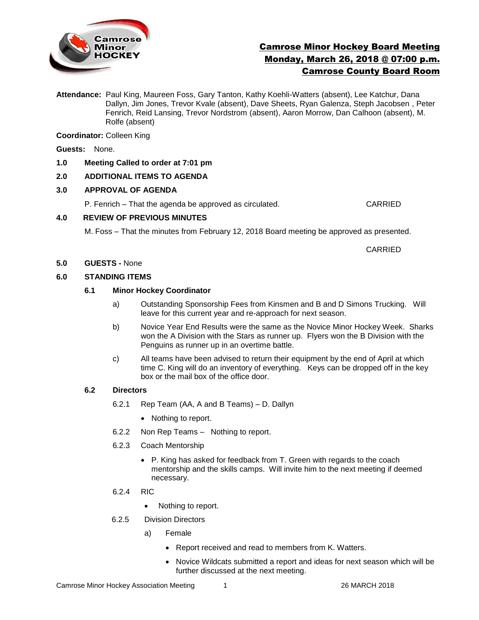

# Camrose Minor Hockey Board Meeting Monday, March 26, 2018 @ 07:00 p.m. Camrose County Board Room

**Attendance:** Paul King, Maureen Foss, Gary Tanton, Kathy Koehli-Watters (absent), Lee Katchur, Dana Dallyn, Jim Jones, Trevor Kvale (absent), Dave Sheets, Ryan Galenza, Steph Jacobsen , Peter Fenrich, Reid Lansing, Trevor Nordstrom (absent), Aaron Morrow, Dan Calhoon (absent), M. Rolfe (absent)

**Coordinator:** Colleen King

**Guests:** None.

## **1.0 Meeting Called to order at 7:01 pm**

# **2.0 ADDITIONAL ITEMS TO AGENDA**

## **3.0 APPROVAL OF AGENDA**

P. Fenrich – That the agenda be approved as circulated. CARRIED

## **4.0 REVIEW OF PREVIOUS MINUTES**

M. Foss – That the minutes from February 12, 2018 Board meeting be approved as presented.

CARRIED

#### **5.0 GUESTS -** None

## **6.0 STANDING ITEMS**

## **6.1 Minor Hockey Coordinator**

- a) Outstanding Sponsorship Fees from Kinsmen and B and D Simons Trucking. Will leave for this current year and re-approach for next season.
- b) Novice Year End Results were the same as the Novice Minor Hockey Week. Sharks won the A Division with the Stars as runner up. Flyers won the B Division with the Penguins as runner up in an overtime battle.
- c) All teams have been advised to return their equipment by the end of April at which time C. King will do an inventory of everything. Keys can be dropped off in the key box or the mail box of the office door.

#### **6.2 Directors**

- 6.2.1 Rep Team (AA, A and B Teams) D. Dallyn
	- Nothing to report.
- 6.2.2 Non Rep Teams Nothing to report.
- 6.2.3 Coach Mentorship
	- P. King has asked for feedback from T. Green with regards to the coach mentorship and the skills camps. Will invite him to the next meeting if deemed necessary.
- 6.2.4 RIC
	- Nothing to report.
- 6.2.5 Division Directors
	- a) Female
		- Report received and read to members from K. Watters.
		- Novice Wildcats submitted a report and ideas for next season which will be further discussed at the next meeting.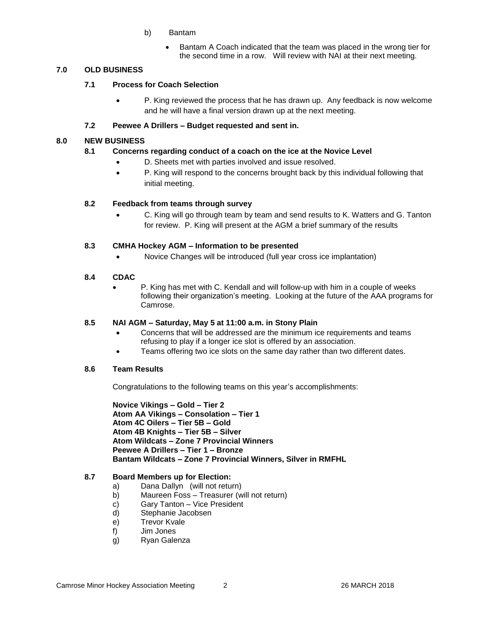- b) Bantam
	- Bantam A Coach indicated that the team was placed in the wrong tier for the second time in a row. Will review with NAI at their next meeting.

# **7.0 OLD BUSINESS**

## **7.1 Process for Coach Selection**

 P. King reviewed the process that he has drawn up. Any feedback is now welcome and he will have a final version drawn up at the next meeting.

## **7.2 Peewee A Drillers – Budget requested and sent in.**

## **8.0 NEW BUSINESS**

## **8.1 Concerns regarding conduct of a coach on the ice at the Novice Level**

- D. Sheets met with parties involved and issue resolved.
- P. King will respond to the concerns brought back by this individual following that initial meeting.

## **8.2 Feedback from teams through survey**

 C. King will go through team by team and send results to K. Watters and G. Tanton for review. P. King will present at the AGM a brief summary of the results

## **8.3 CMHA Hockey AGM – Information to be presented**

Novice Changes will be introduced (full year cross ice implantation)

#### **8.4 CDAC**

 P. King has met with C. Kendall and will follow-up with him in a couple of weeks following their organization's meeting. Looking at the future of the AAA programs for Camrose.

#### **8.5 NAI AGM – Saturday, May 5 at 11:00 a.m. in Stony Plain**

- Concerns that will be addressed are the minimum ice requirements and teams refusing to play if a longer ice slot is offered by an association.
- Teams offering two ice slots on the same day rather than two different dates.

#### **8.6 Team Results**

Congratulations to the following teams on this year's accomplishments:

**Novice Vikings – Gold – Tier 2 Atom AA Vikings – Consolation – Tier 1 Atom 4C Oilers – Tier 5B – Gold Atom 4B Knights – Tier 5B – Silver Atom Wildcats – Zone 7 Provincial Winners Peewee A Drillers – Tier 1 – Bronze Bantam Wildcats – Zone 7 Provincial Winners, Silver in RMFHL**

#### **8.7 Board Members up for Election:**

- a) Dana Dallyn (will not return)
- b) Maureen Foss Treasurer (will not return)
- c) Gary Tanton Vice President
- d) Stephanie Jacobsen
- e) Trevor Kvale
- f) Jim Jones
- g) Ryan Galenza